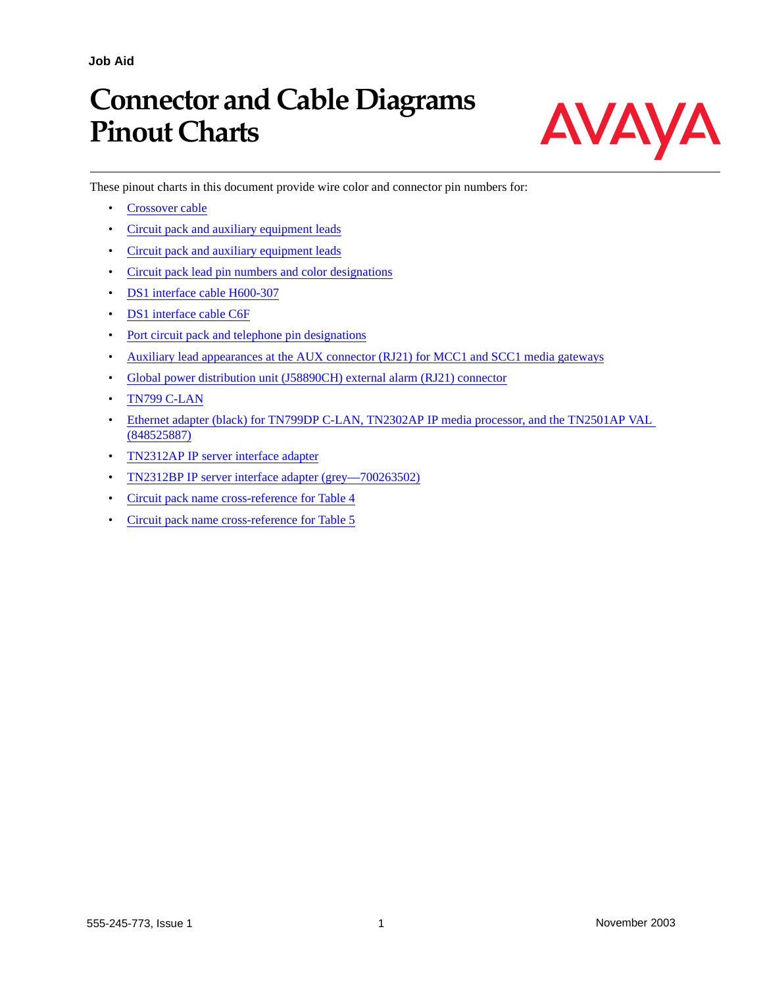**Job Aid**

# **Connector and Cable Diagrams Pinout Charts**

These pinout charts in this document provide wire color and connector pin numbers for:

- [Crossover cable](#page-2-0)
- [Circuit pack and auxiliary equipment leads](#page-3-0)
- [Circuit pack and auxiliary equipment leads](#page-4-0)
- [Circuit pack lead pin numbers and color designations](#page-5-0)
- [DS1 interface cable H600-307](#page-6-1)
- [DS1 interface cable C6F](#page-6-0)
- [Port circuit pack and telephone pin designations](#page-7-0)
- [Auxiliary lead appearances at the AUX connector \(RJ21\) for MCC1 and SCC1 media gateways](#page-8-0)
- [Global power distribution unit \(J58890CH\) external alarm \(RJ21\) connector](#page-9-0)
- [TN799 C-LAN](#page-10-0)
- [Ethernet adapter \(black\) for TN799DP C-LAN, TN2302AP IP media processor, and the TN2501AP VAL](#page-10-2)  [\(848525887\)](#page-10-2)
- [TN2312AP IP server interface adapter](#page-10-1)
- [TN2312BP IP server interface adapter \(grey—700263502\)](#page-11-0)
- [Circuit pack name cross-reference for Table 4](#page-12-1)
- [Circuit pack name cross-reference for Table 5](#page-12-0)



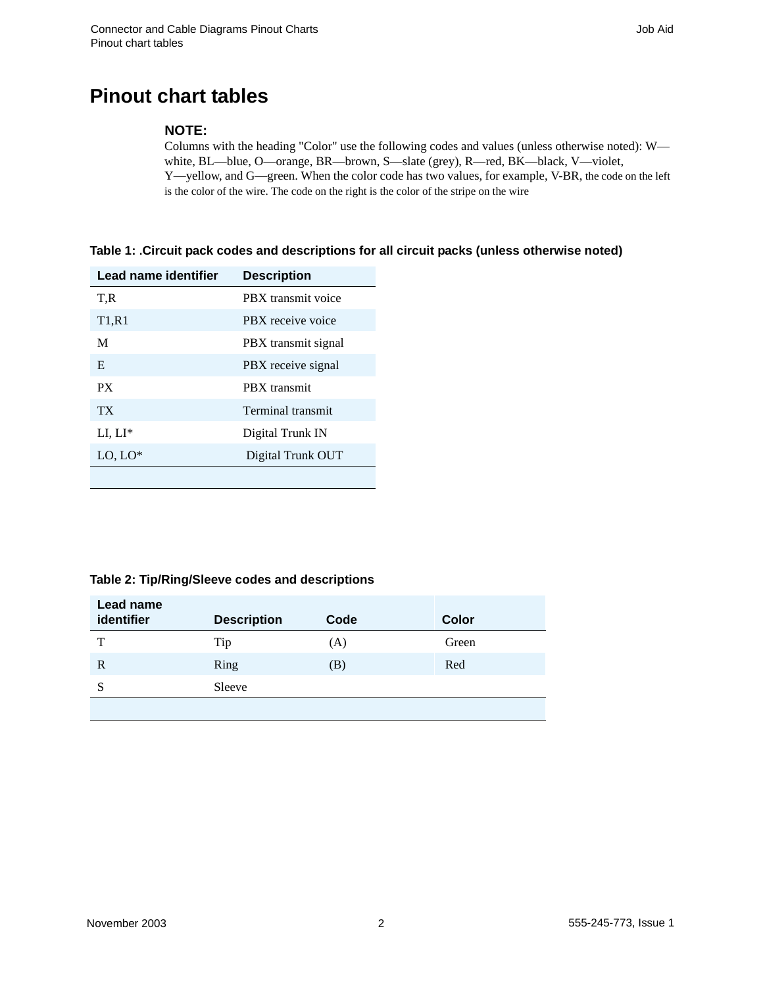## **Pinout chart tables**

#### **NOTE:**

Columns with the heading "Color" use the following codes and values (unless otherwise noted): W white, BL—blue, O—orange, BR—brown, S—slate (grey), R—red, BK—black, V—violet, Y—yellow, and G—green. When the color code has two values, for example, V-BR, the code on the left is the color of the wire. The code on the right is the color of the stripe on the wire

#### **Table 1: .Circuit pack codes and descriptions for all circuit packs (unless otherwise noted)**

| Lead name identifier           | <b>Description</b>  |
|--------------------------------|---------------------|
| T.R                            | PBX transmit voice  |
| T <sub>1</sub> ,R <sub>1</sub> | PBX receive voice   |
| M                              | PBX transmit signal |
| E                              | PBX receive signal  |
| PX.                            | PBX transmit        |
| TX <sup>-</sup>                | Terminal transmit   |
| $LI, LI^*$                     | Digital Trunk IN    |
| $LO, LO^*$                     | Digital Trunk OUT   |
|                                |                     |

#### **Table 2: Tip/Ring/Sleeve codes and descriptions**

| Lead name<br>identifier | <b>Description</b> | Code | Color |
|-------------------------|--------------------|------|-------|
| Т                       | Tip                | (A)  | Green |
| R                       | Ring               | (B)  | Red   |
| S                       | Sleeve             |      |       |
|                         |                    |      |       |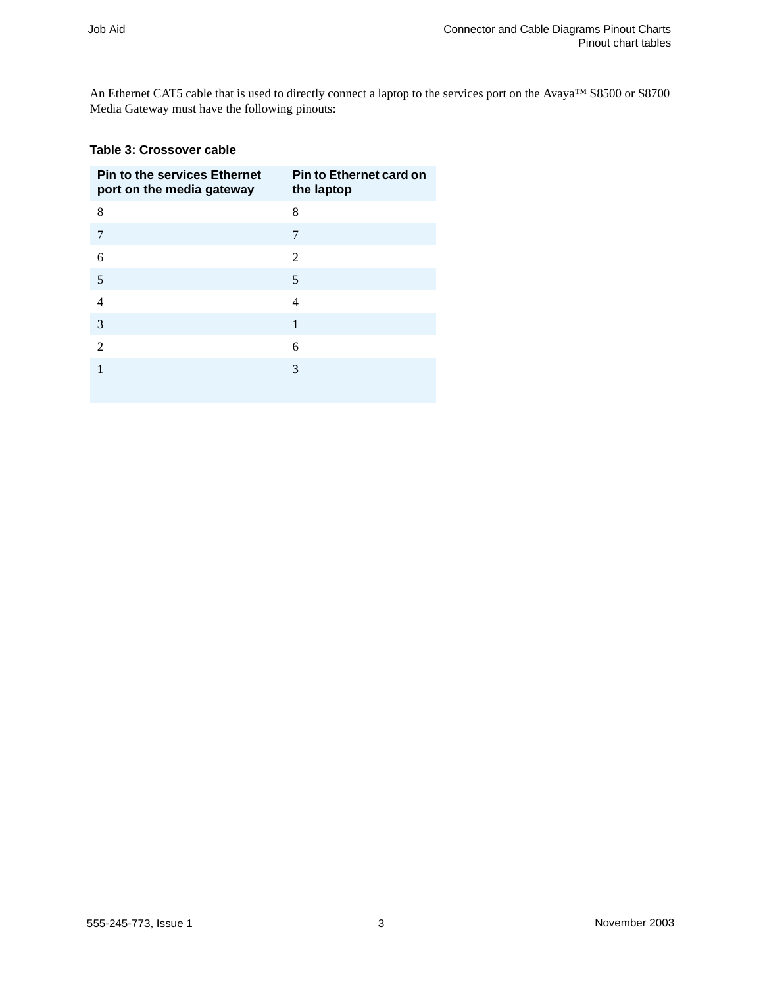An Ethernet CAT5 cable that is used to directly connect a laptop to the services port on the Avaya™ S8500 or S8700 Media Gateway must have the following pinouts:

#### <span id="page-2-0"></span>**Table 3: Crossover cable**

| <b>Pin to the services Ethernet</b><br>port on the media gateway | <b>Pin to Ethernet card on</b><br>the laptop |
|------------------------------------------------------------------|----------------------------------------------|
| 8                                                                | 8                                            |
| 7                                                                | 7                                            |
| 6                                                                | 2                                            |
| 5                                                                | 5                                            |
| 4                                                                | 4                                            |
| 3                                                                | 1                                            |
| $\mathfrak{D}$                                                   | 6                                            |
|                                                                  | 3                                            |
|                                                                  |                                              |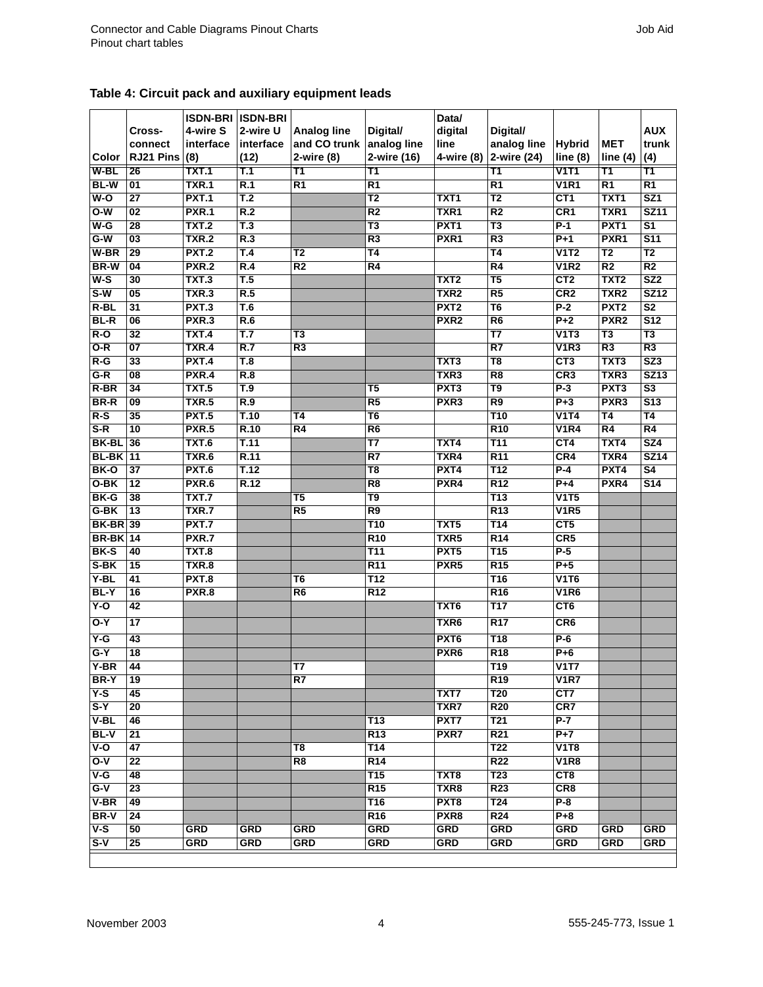<span id="page-3-0"></span>

| Table 4: Circuit pack and auxiliary equipment leads |  |  |  |  |
|-----------------------------------------------------|--|--|--|--|
|-----------------------------------------------------|--|--|--|--|

|                         |                       |                       | <b>ISDN-BRI ISDN-BRI</b>           |                    |                          | Data/                                |                          |                    |                        |                           |
|-------------------------|-----------------------|-----------------------|------------------------------------|--------------------|--------------------------|--------------------------------------|--------------------------|--------------------|------------------------|---------------------------|
|                         | Cross-                | 4-wire S              | 2-wire U                           | <b>Analog line</b> | Digital/                 | digital                              | Digital/                 |                    |                        | <b>AUX</b>                |
|                         | connect               | interface             | interface                          | and CO trunk       | analog line              | line                                 | analog line              | <b>Hybrid</b>      | <b>MET</b>             | trunk                     |
| Color                   | RJ21 Pins             | (8)                   | (12)                               | 2-wire (8)         | 2-wire (16)              | 4-wire (8)                           | 2-wire (24)              | line(8)            | line $(4)$             | (4)                       |
| W-BL                    | 26                    | TXT.1                 | Т.1                                | T1                 | T1                       |                                      | Τ1                       | $\overline{v}$ 111 | Τ1                     | Τ1                        |
| <b>BL-W</b>             | 01                    | <b>TXR.1</b>          | R.1                                | $\overline{R1}$    | R1                       |                                      | R1                       | <b>V1R1</b>        | R1                     | $\overline{R1}$           |
| $W-O$                   | $\overline{27}$       | <b>PXT.1</b>          | T.2                                |                    | $\overline{\mathsf{T2}}$ | TXT1                                 | T <sub>2</sub>           | CT1                | TXT <sub>1</sub>       | SZ1                       |
| $O-W$                   | 02                    | <b>PXR.1</b>          | R.2                                |                    | R <sub>2</sub>           | TXR1                                 | R <sub>2</sub>           | CR <sub>1</sub>    | TXR1                   | <b>SZ11</b>               |
| $W-G$                   | 28                    | <b>TXT.2</b>          | T.3                                |                    | T3                       | PXT <sub>1</sub>                     | T3                       | $P-1$              | PXT <sub>1</sub>       | $\overline{\mathsf{s}}$ 1 |
| $G-W$                   | $\overline{03}$       | <b>TXR.2</b>          | R.3                                |                    | R3                       | PXR1                                 | R3                       | $P+1$              | PXR <sub>1</sub>       | \$11                      |
| $W-BR$                  | 29                    | <b>PXT.2</b>          | T.4                                | T2                 | T <sub>4</sub>           |                                      | T <sub>4</sub>           | V1T2               | $\overline{\text{T2}}$ | T <sub>2</sub>            |
| <b>BR-W</b>             | 04                    | <b>PXR.2</b>          | R.4                                | R <sub>2</sub>     | $\overline{R4}$          |                                      | R <sub>4</sub>           | <b>V1R2</b>        | R <sub>2</sub>         | R <sub>2</sub>            |
| $W-S$                   | 30                    | <b>TXT.3</b>          | T.5                                |                    |                          | TXT <sub>2</sub>                     | T5                       | CT <sub>2</sub>    | TXT <sub>2</sub>       | SZ <sub>2</sub>           |
| $S-W$                   | 05                    | <b>TXR.3</b>          | R.5                                |                    |                          | TXR <sub>2</sub>                     | R5                       | CR <sub>2</sub>    | TXR <sub>2</sub>       | <b>SZ12</b>               |
| $R-BL$                  | 31                    | PXT.3                 | T.6                                |                    |                          | PXT <sub>2</sub>                     | T <sub>6</sub>           | $P-2$              | PXT <sub>2</sub>       | $\overline{\text{S2}}$    |
| $BL-R$                  | 06                    | <b>PXR.3</b>          | R.6                                |                    |                          | PXR <sub>2</sub>                     | R6                       | $P+2$              | PXR <sub>2</sub>       | $\overline{\text{S}12}$   |
| $R-O$                   | 32                    | <b>TXT.4</b>          | $\overline{\mathsf{T}.\mathsf{7}}$ | T <sub>3</sub>     |                          |                                      | $\overline{\mathsf{T7}}$ | V1T3               | $\overline{13}$        | $\overline{\text{T3}}$    |
| $O-R$                   | 07                    | <b>TXR.4</b>          | R.7                                | R <sub>3</sub>     |                          |                                      | R7                       | <b>V1R3</b>        | R3                     | R3                        |
| $R-G$                   | 33                    | <b>PXT.4</b>          | $\overline{T.8}$                   |                    |                          | TXT <sub>3</sub>                     | T <sub>8</sub>           | CT3                | TXT <sub>3</sub>       | SZ3                       |
| $G-R$                   | $\overline{08}$       | PXR.4                 | R.8                                |                    |                          | TXR3                                 | R8                       | CR3                | TXR3                   | <b>SZ13</b>               |
| $R-BR$                  | 34                    | <b>TXT.5</b>          | T.9                                |                    | T5                       | PXT <sub>3</sub>                     | T9                       | $P-3$              | PXT <sub>3</sub>       | $\overline{\text{S3}}$    |
| <b>BR-R</b>             | $\overline{09}$       | <b>TXR.5</b>          | R.9                                |                    | R5                       | PXR <sub>3</sub>                     | $\overline{R9}$          | $P + 3$            | PXR <sub>3</sub>       | S <sub>13</sub>           |
| $R-S$                   | 35                    | <b>PXT.5</b>          | T.10                               | Τ4                 | $\overline{\textsf{T6}}$ |                                      | <b>T10</b>               | V1T4               | T4                     | T4                        |
| $S-R$                   | $\overline{10}$       | <b>PXR.5</b>          | R.10                               | R <sub>4</sub>     | R6                       |                                      | R <sub>10</sub>          | <b>V1R4</b>        | R <sub>4</sub>         | R <sub>4</sub>            |
| <b>BK-BL</b>            | 36                    | TXT.6                 | <b>T.11</b>                        |                    | T7                       | TXT4                                 | <b>T11</b>               | CT4                | TXT4                   | <b>SZ4</b>                |
| <b>BL-BK</b> 11         |                       | TXR.6                 | R.11                               |                    | $\overline{R7}$          | TXR4                                 | R <sub>11</sub>          | CR4                | TXR4                   | <b>SZ14</b>               |
| BK-O                    | 37                    | PXT.6                 | T.12                               |                    | T <sub>8</sub>           | PXT4                                 | <b>T12</b>               | $P-4$              | PXT4                   | S <sub>4</sub>            |
| $O-BK$                  | $\overline{12}$       | PXR.6                 | R.12                               |                    | R <sub>8</sub>           | PXR4                                 | R <sub>12</sub>          | $P+4$              | PXR4                   | \$14                      |
| <b>BK-G</b>             | 38                    | <b>TXT.7</b>          |                                    | $\overline{15}$    | T9                       |                                      | <b>T13</b>               | V1T5               |                        |                           |
| G-BK                    | $\overline{13}$       | <b>TXR.7</b>          |                                    | R <sub>5</sub>     | R9                       |                                      | R <sub>13</sub>          | V1R5               |                        |                           |
| <b>BK-BR</b> 39         |                       | <b>PXT.7</b>          |                                    |                    | T10                      | TXT <sub>5</sub>                     | <b>T14</b>               | CT5                |                        |                           |
| <b>BR-BK</b> 14<br>BK-S | 40                    | PXR.7<br><b>TXT.8</b> |                                    |                    | R10<br><b>T11</b>        | TXR <sub>5</sub><br>PXT <sub>5</sub> | R <sub>14</sub><br>T15   | CR5<br>$P-5$       |                        |                           |
| $S-BK$                  | $\overline{15}$       | TXR.8                 |                                    |                    | R <sub>11</sub>          | PXR <sub>5</sub>                     | R <sub>15</sub>          | $P+5$              |                        |                           |
| $Y-BL$                  | 41                    | <b>PXT.8</b>          |                                    | T6                 | <b>T12</b>               |                                      | <b>T16</b>               | <b>V1T6</b>        |                        |                           |
| BL-Y                    | 16                    | PXR.8                 |                                    | R6                 | <b>R12</b>               |                                      | <b>R16</b>               | <b>V1R6</b>        |                        |                           |
| $Y-0$                   | 42                    |                       |                                    |                    |                          | TXT <sub>6</sub>                     | <b>T17</b>               | CT <sub>6</sub>    |                        |                           |
|                         |                       |                       |                                    |                    |                          |                                      |                          |                    |                        |                           |
| $O-Y$                   | 17                    |                       |                                    |                    |                          | TXR <sub>6</sub>                     | <b>R17</b>               | CR <sub>6</sub>    |                        |                           |
| $Y-G$                   | 43                    |                       |                                    |                    |                          | PXT <sub>6</sub>                     | <b>T18</b>               | $P-6$              |                        |                           |
| $G-Y$                   | $\overline{18}$       |                       |                                    |                    |                          | PXR <sub>6</sub>                     | R <sub>18</sub>          | $P + 6$            |                        |                           |
| Y-BR                    | 44                    |                       |                                    | $\mathbf{I}$       |                          |                                      | T19                      | $\overline{V1T7}$  |                        |                           |
| BR-Y                    | 19                    |                       |                                    | R7                 |                          |                                      | R <sub>19</sub>          | <b>V1R7</b>        |                        |                           |
| $Y-S$                   | 45                    |                       |                                    |                    |                          | TXT7                                 | <b>T20</b>               | CT7                |                        |                           |
| $S-Y$                   | 20                    |                       |                                    |                    |                          | TXR7                                 | <b>R20</b>               | CR7                |                        |                           |
| V-BL                    | 46                    |                       |                                    |                    | T13                      | PXT7                                 | T21                      | $P-7$              |                        |                           |
| <b>BL-V</b>             | 21                    |                       |                                    |                    | R <sub>13</sub>          | PXR7                                 | R <sub>21</sub>          | $P+7$              |                        |                           |
| $V-O$                   | 47                    |                       |                                    | T8                 | <b>T14</b>               |                                      | T <sub>22</sub>          | <b>V1T8</b>        |                        |                           |
| $O-V$                   | $\overline{22}$       |                       |                                    | R8                 | R14                      |                                      | <b>R22</b>               | <b>V1R8</b>        |                        |                           |
| $V-G$                   | 48                    |                       |                                    |                    | <b>T15</b>               | TXT8                                 | T <sub>23</sub>          | CT8                |                        |                           |
| $G-V$                   | $\overline{23}$       |                       |                                    |                    | R15                      | TXR8                                 | <b>R23</b>               | CR <sub>8</sub>    |                        |                           |
| $V-BR$<br>BR-V          | 49<br>$\overline{24}$ |                       |                                    |                    | T16<br>R <sub>16</sub>   | PXT8<br>PXR <sub>8</sub>             | T24<br><b>R24</b>        | $P-8$<br>$P + 8$   |                        |                           |
| $V-S$                   | 50                    | <b>GRD</b>            | <b>GRD</b>                         | <b>GRD</b>         | <b>GRD</b>               | <b>GRD</b>                           | <b>GRD</b>               | <b>GRD</b>         | <b>GRD</b>             | <b>GRD</b>                |
| $S-V$                   | 25                    | <b>GRD</b>            | <b>GRD</b>                         | <b>GRD</b>         | <b>GRD</b>               | <b>GRD</b>                           | <b>GRD</b>               | <b>GRD</b>         | <b>GRD</b>             | <b>GRD</b>                |
|                         |                       |                       |                                    |                    |                          |                                      |                          |                    |                        |                           |
|                         |                       |                       |                                    |                    |                          |                                      |                          |                    |                        |                           |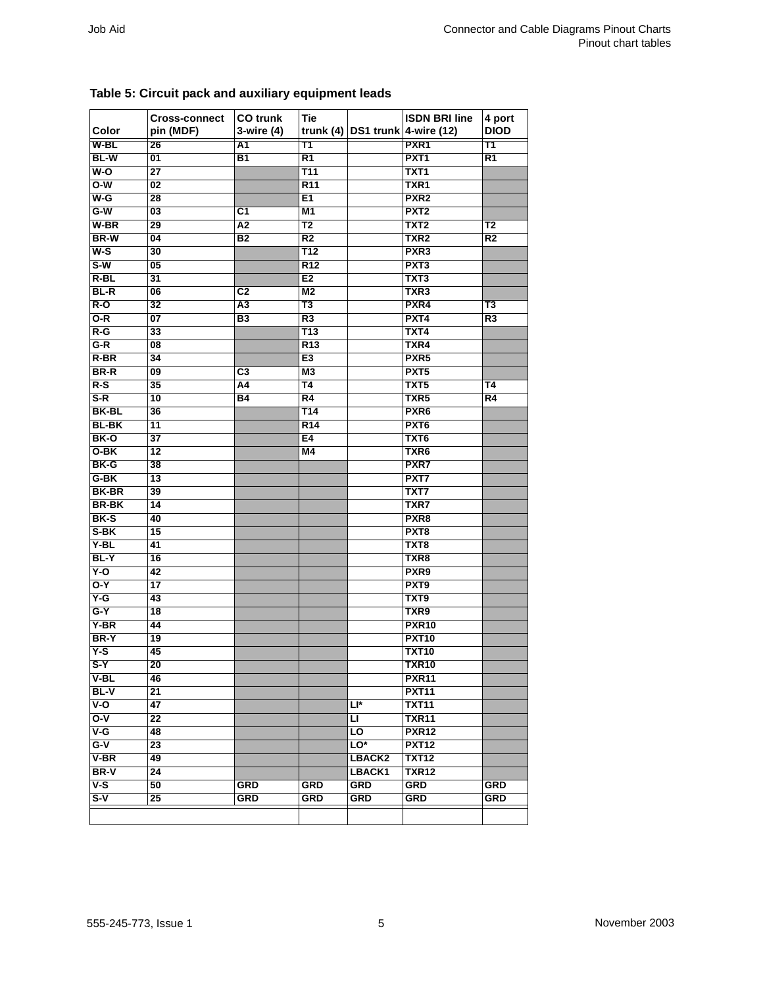| Color        | <b>Cross-connect</b><br>pin (MDF) | <b>CO</b> trunk<br>3-wire (4) | Tie             |            | <b>ISDN BRI line</b><br>trunk (4) $DS1$ trunk 4-wire (12) | 4 port<br><b>DIOD</b> |
|--------------|-----------------------------------|-------------------------------|-----------------|------------|-----------------------------------------------------------|-----------------------|
| W-BL         | 26                                | A1                            | Τ1              |            | PXR <sub>1</sub>                                          | Τ1                    |
| <b>BL-W</b>  | $\overline{01}$                   | $\overline{B1}$               | $\overline{R1}$ |            | PXT <sub>1</sub>                                          | $\overline{R1}$       |
| $W-O$        | $\overline{27}$                   |                               | <b>T11</b>      |            | TXT <sub>1</sub>                                          |                       |
| $O-W$        | 02                                |                               | <b>R11</b>      |            | TXR1                                                      |                       |
| $W-G$        | 28                                |                               | E <sub>1</sub>  |            | PXR <sub>2</sub>                                          |                       |
| $G-W$        | 03                                | C1                            | M <sub>1</sub>  |            | PXT <sub>2</sub>                                          |                       |
| W-BR         | 29                                | $\overline{A2}$               | T2              |            | TXT <sub>2</sub>                                          | T2                    |
| <b>BR-W</b>  | 04                                | <b>B2</b>                     | R <sub>2</sub>  |            | TXR <sub>2</sub>                                          | R <sub>2</sub>        |
| $W-S$        | 30                                |                               | <b>T12</b>      |            | PXR <sub>3</sub>                                          |                       |
| $S-W$        | $\overline{05}$                   |                               | R <sub>12</sub> |            | PXT <sub>3</sub>                                          |                       |
| $R-BL$       | 31                                |                               | E <sub>2</sub>  |            | TXT3                                                      |                       |
| <b>BL-R</b>  | 06                                | $\overline{c}$                | M <sub>2</sub>  |            | TXR <sub>3</sub>                                          |                       |
| $R-O$        | 32                                | А3                            | T3              |            | PXR4                                                      | T3                    |
| $O-R$        | 07                                | B <sub>3</sub>                | R <sub>3</sub>  |            | PXT4                                                      | R <sub>3</sub>        |
| $R-G$        | 33                                |                               | <b>T13</b>      |            | TXT4                                                      |                       |
| $G-R$        | 08                                |                               | R <sub>13</sub> |            | TXR4                                                      |                       |
| R-BR         | $\overline{34}$                   |                               | E <sub>3</sub>  |            | PXR <sub>5</sub>                                          |                       |
| <b>BR-R</b>  |                                   |                               |                 |            | PXT <sub>5</sub>                                          |                       |
|              | 09                                | C3                            | M3              |            |                                                           |                       |
| $R-S$        | 35                                | A4                            | T4              |            | TXT5                                                      | T4                    |
| $S-R$        | $\overline{10}$                   | Β4                            | $\overline{R4}$ |            | TXR <sub>5</sub>                                          | $\overline{R4}$       |
| <b>BK-BL</b> | 36                                |                               | <b>T14</b>      |            | PXR <sub>6</sub>                                          |                       |
| <b>BL-BK</b> | 11                                |                               | R <sub>14</sub> |            | PXT <sub>6</sub>                                          |                       |
| BK-O         | 37                                |                               | E4              |            | TXT6                                                      |                       |
| O-BK         | 12                                |                               | M4              |            | TXR <sub>6</sub>                                          |                       |
| BK-G         | $\overline{38}$                   |                               |                 |            | PXR7                                                      |                       |
| G-BK         | 13                                |                               |                 |            | PXT7                                                      |                       |
| <b>BK-BR</b> | 39                                |                               |                 |            | TXT7                                                      |                       |
| <b>BR-BK</b> | 14                                |                               |                 |            | <b>TXR7</b>                                               |                       |
| BK-S         | 40                                |                               |                 |            | PXR <sub>8</sub>                                          |                       |
| S-BK         | $\overline{15}$                   |                               |                 |            | PXT <sub>8</sub>                                          |                       |
| Y-BL         | 41                                |                               |                 |            | TXT8                                                      |                       |
| BL-Y         | 16                                |                               |                 |            | TXR8                                                      |                       |
| $Y-O$        | 42                                |                               |                 |            | PXR9                                                      |                       |
| $O-Y$        | $\overline{17}$                   |                               |                 |            | PXT9                                                      |                       |
| $Y-G$        | 43                                |                               |                 |            | TXT9                                                      |                       |
| $G-Y$        | 18                                |                               |                 |            | TXR9                                                      |                       |
| $Y-BR$       | 44                                |                               |                 |            | <b>PXR10</b>                                              |                       |
| BR-Y         | 19                                |                               |                 |            | <b>PXT10</b>                                              |                       |
| $Y-S$        | 45                                |                               |                 |            | <b>TXT10</b>                                              |                       |
| $S-Y$        | $\overline{20}$                   |                               |                 |            | <b>TXR10</b>                                              |                       |
| V-BL         | 46                                |                               |                 |            | <b>PXR11</b>                                              |                       |
| <b>BL-V</b>  | 21                                |                               |                 |            | <b>PXT11</b>                                              |                       |
| $V-O$        | 47                                |                               |                 | Ll*        | <b>TXT11</b>                                              |                       |
| $O-V$        | 22                                |                               |                 | π          | <b>TXR11</b>                                              |                       |
| $V-G$        | 48                                |                               |                 | F          | <b>PXR12</b>                                              |                       |
| $G-V$        | 23                                |                               |                 | $LO*$      | <b>PXT12</b>                                              |                       |
| $V-BR$       | 49                                |                               |                 | LBACK2     | <b>TXT12</b>                                              |                       |
|              |                                   |                               |                 |            |                                                           |                       |
| <b>BR-V</b>  | 24                                |                               |                 | LBACK1     | <b>TXR12</b><br><b>GRD</b>                                |                       |
| $V-S$        | 50                                | GRD                           | GRD             | <b>GRD</b> |                                                           | <b>GRD</b>            |
| $S-V$        | 25                                | <b>GRD</b>                    | <b>GRD</b>      | <b>GRD</b> | <b>GRD</b>                                                | <b>GRD</b>            |

### <span id="page-4-0"></span>**Table 5: Circuit pack and auxiliary equipment leads**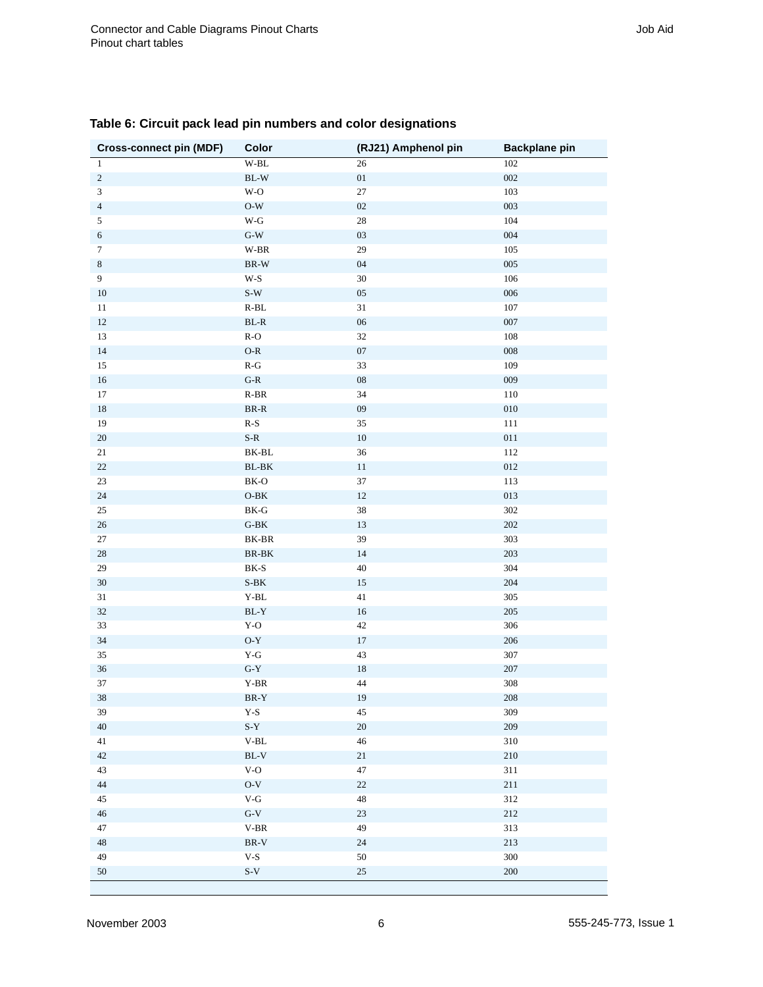| <b>Cross-connect pin (MDF)</b> | <b>Color</b>                             | (RJ21) Amphenol pin | <b>Backplane pin</b>      |
|--------------------------------|------------------------------------------|---------------------|---------------------------|
| $\mathbf{1}$                   | $\mathbf{W}\text{-}\mathbf{B}\mathbf{L}$ | 26                  | 102                       |
| $\sqrt{2}$                     | $\operatorname{BL-W}$                    | $0 \\ 1$            | ${\color{red}002}$        |
| $\overline{\mathbf{3}}$        | $\mathbf{W}\text{-}\mathbf{O}$           | $27\,$              | 103                       |
| $\sqrt{4}$                     | $\mathrm{O}\text{-}\mathrm{W}$           | $02\,$              | 003                       |
| $\sqrt{5}$                     | $\mathbf{W}\text{-}\mathbf{G}$           | $\sqrt{28}$         | 104                       |
| $\sqrt{6}$                     | $\mbox{G-W}$                             | $03\,$              | $\,004$                   |
| $\overline{7}$                 | $\mathbf{W}\text{-}\mathbf{B}\mathbf{R}$ | $29\,$              | $105\,$                   |
| $\,8\,$                        | $\operatorname{BR-W}$                    | $04\,$              | $005\,$                   |
| $\boldsymbol{9}$               | $W-S$                                    | 30                  | 106                       |
| $10\,$                         | $\mbox{S-W}$                             | $05\,$              | $006\,$                   |
| 11                             | $\operatorname{R-BL}$                    | 31                  | 107                       |
| $12\,$                         | $\operatorname{BL-R}$                    | $06\,$              | 007                       |
| 13                             | $R-O$                                    | 32                  | 108                       |
| $14\,$                         | $O-R$                                    | $07\,$              | ${\bf 008}$               |
| $15\,$                         | $\mathbf{R}\text{-}\mathbf{G}$           | 33                  | 109                       |
| $16\,$                         | $\mbox{G-R}$                             | ${\bf 08}$          | 009                       |
| $17\,$                         | $R-BR$                                   | 34                  | 110                       |
| $18\,$                         | $\mbox{BR-R}$                            | ${\bf 09}$          | ${\bf 0} {\bf 1} {\bf 0}$ |
| 19                             | $R-S$                                    | 35                  | $111\,$                   |
| $20\,$                         | $\mbox{S-R}$                             | $10\,$              | $011\,$                   |
| $21\,$                         | ${\rm BK}\mbox{-}{\rm BL}$               | 36                  | 112                       |
| $22\,$                         | $BL-BK$                                  | $11\,$              | $012\,$                   |
| $23\,$                         | BK-O                                     | 37                  | 113                       |
| $24\,$                         | $\mathbf{O}\text{-}\mathbf{B}\mathbf{K}$ | $12\,$              | 013                       |
| $25\,$                         | $\rm BK\text{-}G$                        | 38                  | $302\,$                   |
| 26                             | $\operatorname{G-BK}$                    | 13                  | 202                       |
| $27\,$                         | $BK-BR$                                  | 39                  | 303                       |
| $28\,$                         | $\mathbf{BR}\text{-}\mathbf{BK}$         | 14                  | 203                       |
| $29\,$                         | $\rm BK\text{-}S$                        | 40                  | 304                       |
| $30\,$                         | $\mbox{S-BK}$                            | $15\,$              | 204                       |
| $31\,$                         | $Y-BL$                                   | $41\,$              | $305\,$                   |
| $32\,$                         | $BL-Y$                                   | $16\,$              | $205\,$                   |
| 33                             | $Y-O$                                    | $42\,$              | 306                       |
| $34\,$                         | $\mathrm{O}\text{-}\mathrm{Y}$           | $17\,$              | $206\,$                   |
| $35\,$                         | $Y-G$                                    | 43                  | 307                       |
| 36                             | $G-Y$                                    | $18\,$              | $207\,$                   |
| 37                             | Y-BR                                     | $44\,$              | 308                       |
| $38\,$                         | $BR-Y$                                   | $19\,$              | $208\,$                   |
| 39                             | $\mathbf{Y}\text{-}\mathbf{S}$           | $45\,$              | 309                       |
| 40                             | $S-Y$                                    | $20\,$              | 209                       |
| 41                             | $_{\rm V\text{-}BL}$                     | $46\,$              | 310                       |
| $42\,$                         | $BL-V$                                   | $21\,$              | 210                       |
| 43                             | $V-O$                                    | 47                  | 311                       |
| $44\,$                         | $O-V$                                    | $22\,$              | 211                       |
| 45                             | $\mathbf{V}\text{-}\mathbf{G}$           | 48                  | 312                       |
| $46\,$                         | $\mbox{G-V}$                             | $23\,$              | 212                       |
| 47                             | $V-BR$                                   | 49                  | 313                       |
| 48                             | $\rm BR\text{-}V$                        | $24\,$              | $213\,$                   |
| 49                             | $V-S$                                    | 50                  | 300                       |
| $50\,$                         | $\mbox{S-V}$                             | $25\,$              | 200                       |
|                                |                                          |                     |                           |

#### <span id="page-5-0"></span>**Table 6: Circuit pack lead pin numbers and color designations**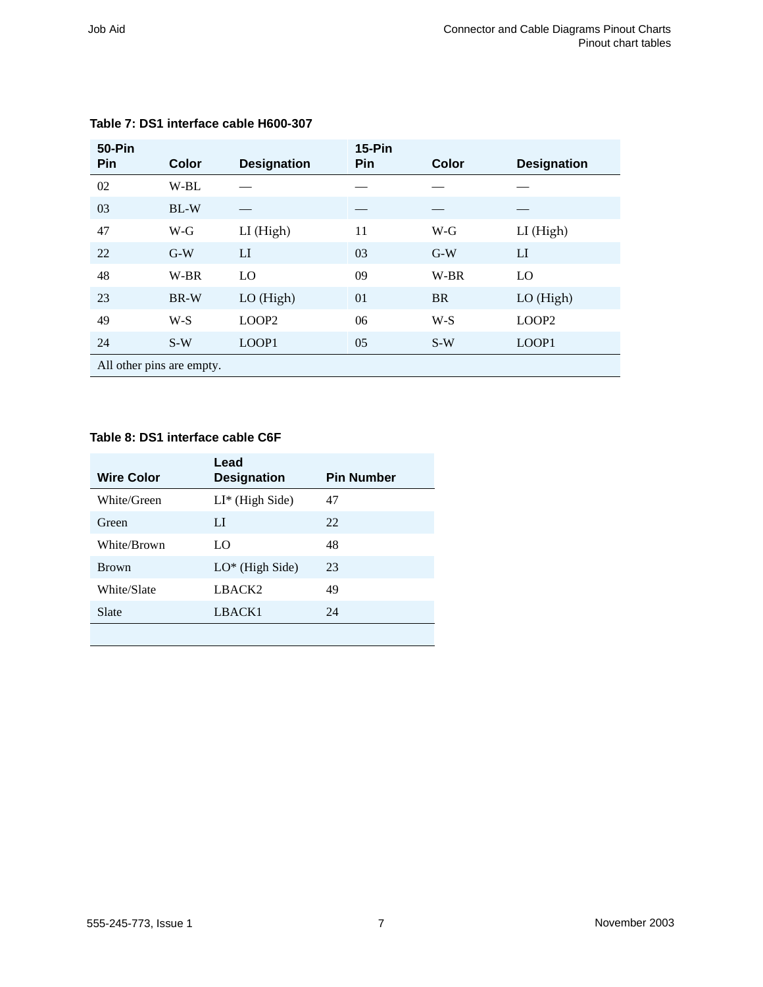| <b>50-Pin</b><br>Pin | Color                     | <b>Designation</b> | <b>15-Pin</b><br>Pin | Color     | <b>Designation</b> |  |
|----------------------|---------------------------|--------------------|----------------------|-----------|--------------------|--|
| 02                   | W-BL                      |                    |                      |           |                    |  |
| 03                   | $BL-W$                    |                    |                      |           |                    |  |
| 47                   | W-G                       | LI (High)          | 11                   | $W-G$     | LI (High)          |  |
| 22                   | $G-W$                     | LI                 | 03                   | $G-W$     | LI                 |  |
| 48                   | W-BR                      | LO                 | 09                   | W-BR      | LO                 |  |
| 23                   | BR-W                      | LO (High)          | 01                   | <b>BR</b> | $LO$ (High)        |  |
| 49                   | $W-S$                     | LOOP2              | 06                   | $W-S$     | LOOP <sub>2</sub>  |  |
| 24                   | $S-W$                     | LOOP1              | 05                   | $S-W$     | LOOP1              |  |
|                      | All other pins are empty. |                    |                      |           |                    |  |

#### <span id="page-6-1"></span>**Table 7: DS1 interface cable H600-307**

#### <span id="page-6-0"></span>**Table 8: DS1 interface cable C6F**

| <b>Wire Color</b> | Lead<br><b>Designation</b> | <b>Pin Number</b> |
|-------------------|----------------------------|-------------------|
| White/Green       | $LI^*$ (High Side)         | 47                |
| Green             | LI                         | 22                |
| White/Brown       | LO                         | 48                |
| <b>Brown</b>      | $LO^*$ (High Side)         | 23                |
| White/Slate       | LBACK <sub>2</sub>         | 49                |
| Slate             | LBACK1                     | 24                |
|                   |                            |                   |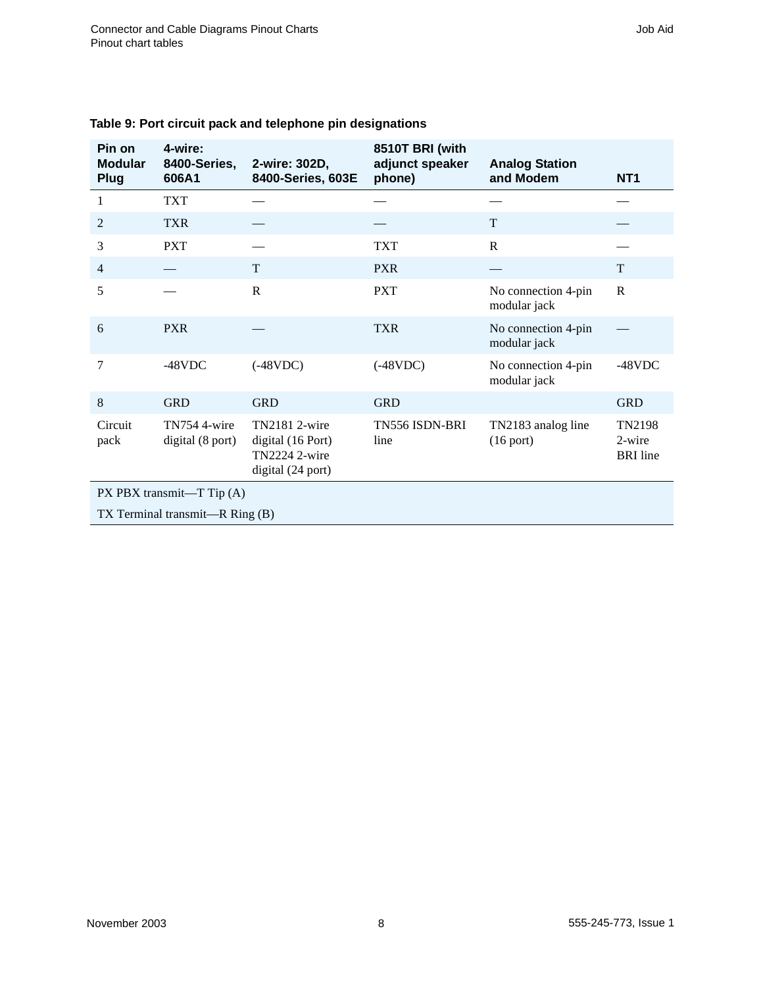| Pin on<br><b>Modular</b><br>Plug | 4-wire:<br>8400-Series,<br>606A1 | 2-wire: 302D,<br>8400-Series, 603E                                       | 8510T BRI (with<br>adjunct speaker<br>phone) | <b>Analog Station</b><br>and Modem  | NT <sub>1</sub>                     |
|----------------------------------|----------------------------------|--------------------------------------------------------------------------|----------------------------------------------|-------------------------------------|-------------------------------------|
| 1                                | <b>TXT</b>                       |                                                                          |                                              |                                     |                                     |
| 2                                | <b>TXR</b>                       |                                                                          |                                              | T                                   |                                     |
| 3                                | <b>PXT</b>                       |                                                                          | <b>TXT</b>                                   | $\mathbf R$                         |                                     |
| $\overline{4}$                   |                                  | T                                                                        | <b>PXR</b>                                   |                                     | T                                   |
| 5                                |                                  | $\mathsf{R}$                                                             | <b>PXT</b>                                   | No connection 4-pin<br>modular jack | ${\bf R}$                           |
| 6                                | <b>PXR</b>                       |                                                                          | <b>TXR</b>                                   | No connection 4-pin<br>modular jack |                                     |
| 7                                | $-48$ VDC                        | $(-48VDC)$                                                               | $(-48VDC)$                                   | No connection 4-pin<br>modular jack | $-48$ VDC                           |
| 8                                | <b>GRD</b>                       | <b>GRD</b>                                                               | <b>GRD</b>                                   |                                     | <b>GRD</b>                          |
| Circuit<br>pack                  | TN754 4-wire<br>digital (8 port) | TN2181 2-wire<br>digital (16 Port)<br>TN2224 2-wire<br>digital (24 port) | TN556 ISDN-BRI<br>line                       | TN2183 analog line<br>$(16$ port)   | TN2198<br>2-wire<br><b>BRI</b> line |
| PX PBX transmit-T Tip (A)        |                                  |                                                                          |                                              |                                     |                                     |
|                                  | TX Terminal transmit—R Ring (B)  |                                                                          |                                              |                                     |                                     |

#### <span id="page-7-0"></span>**Table 9: Port circuit pack and telephone pin designations**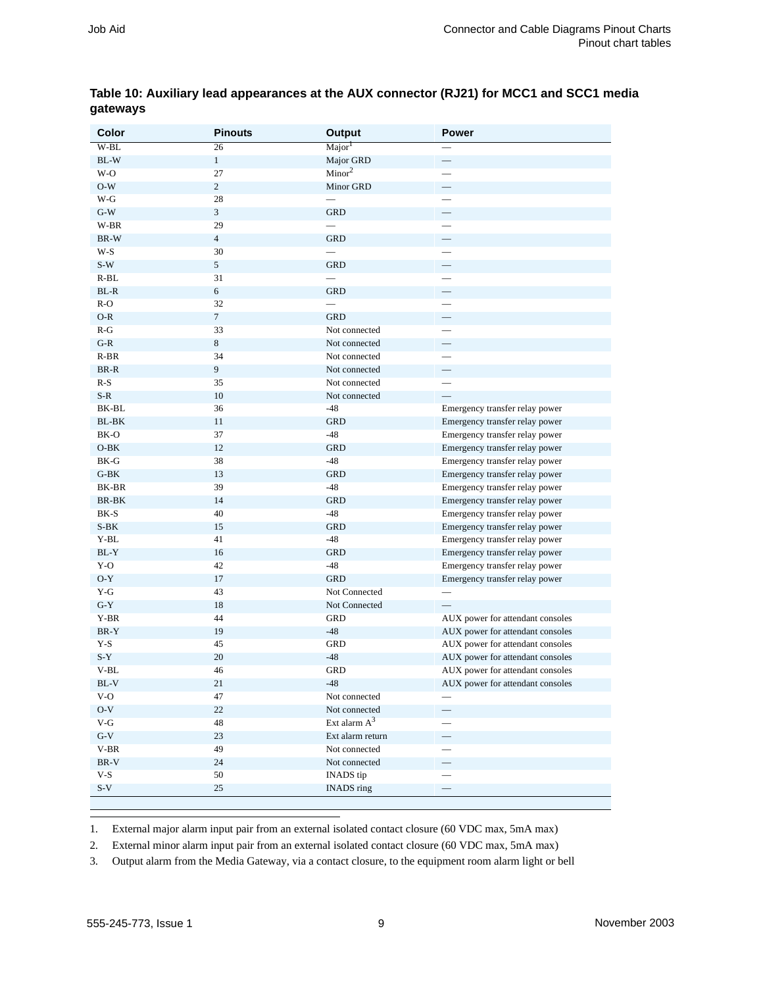| Color  | <b>Pinouts</b>   | <b>Output</b>      | <b>Power</b>                     |
|--------|------------------|--------------------|----------------------------------|
| $W-BL$ | 26               | Major <sup>1</sup> |                                  |
| BL-W   | $\mathbf{1}$     | Major GRD          | $\overline{\phantom{0}}$         |
| W-O    | 27               | Minor <sup>2</sup> |                                  |
| $O-W$  | $\overline{c}$   | Minor GRD          |                                  |
| W-G    | 28               |                    |                                  |
| $G-W$  | $\mathfrak{Z}$   | <b>GRD</b>         | $\overline{\phantom{0}}$         |
| W-BR   | 29               |                    |                                  |
| BR-W   | $\overline{4}$   | <b>GRD</b>         |                                  |
| W-S    | 30               |                    |                                  |
| $S-W$  | 5                | <b>GRD</b>         |                                  |
| $R-BL$ | 31               |                    |                                  |
| BL-R   | 6                | <b>GRD</b>         |                                  |
| $R-O$  | 32               |                    |                                  |
| $O-R$  | $\boldsymbol{7}$ | <b>GRD</b>         | $\overline{\phantom{0}}$         |
| $R-G$  | 33               | Not connected      |                                  |
| $G-R$  | $\,8\,$          | Not connected      |                                  |
| $R-BR$ | 34               | Not connected      |                                  |
| BR-R   | $\boldsymbol{9}$ | Not connected      | ŧ                                |
| $R-S$  | 35               | Not connected      |                                  |
| $S-R$  | 10               | Not connected      |                                  |
| BK-BL  | 36               | $-48$              | Emergency transfer relay power   |
| BL-BK  | 11               | <b>GRD</b>         | Emergency transfer relay power   |
| BK-O   | 37               | $-48$              | Emergency transfer relay power   |
| $O-BK$ | 12               | <b>GRD</b>         | Emergency transfer relay power   |
| BK-G   | 38               | $-48$              | Emergency transfer relay power   |
| $G-BK$ | 13               | <b>GRD</b>         | Emergency transfer relay power   |
| BK-BR  | 39               | $-48$              | Emergency transfer relay power   |
| BR-BK  | 14               | <b>GRD</b>         | Emergency transfer relay power   |
| BK-S   | 40               | $-48$              | Emergency transfer relay power   |
| $S-BK$ | 15               | <b>GRD</b>         | Emergency transfer relay power   |
| Y-BL   | 41               | $-48$              | Emergency transfer relay power   |
| $BL-Y$ | 16               | <b>GRD</b>         | Emergency transfer relay power   |
| Y-O    | 42               | $-48$              | Emergency transfer relay power   |
| $O-Y$  | 17               | <b>GRD</b>         | Emergency transfer relay power   |
| Y-G    | 43               | Not Connected      |                                  |
| $G-Y$  | 18               | Not Connected      |                                  |
| Y-BR   | 44               | GRD                | AUX power for attendant consoles |
| BR-Y   | 19               | $-48$              | AUX power for attendant consoles |
| Y-S    | 45               | GRD                | AUX power for attendant consoles |
| $S-Y$  | 20               | $-48$              | AUX power for attendant consoles |
| V-BL   | 46               | <b>GRD</b>         | AUX power for attendant consoles |
| BL-V   | 21               | $-48$              | AUX power for attendant consoles |
| $V-O$  | 47               | Not connected      |                                  |
| $O-V$  | 22               | Not connected      |                                  |
| $V-G$  | 48               | Ext alarm $A^3$    |                                  |
| $G-V$  | 23               | Ext alarm return   | $\qquad \qquad -$                |
| $V-BR$ | 49               | Not connected      |                                  |
| BR-V   | 24               | Not connected      | —                                |
| $V-S$  | 50               | <b>INADS</b> tip   |                                  |
| $S-V$  | 25               | INADS ring         | $\equiv$                         |

#### <span id="page-8-0"></span>**Table 10: Auxiliary lead appearances at the AUX connector (RJ21) for MCC1 and SCC1 media gateways**

1. External major alarm input pair from an external isolated contact closure (60 VDC max, 5mA max)

2. External minor alarm input pair from an external isolated contact closure (60 VDC max, 5mA max)

3. Output alarm from the Media Gateway, via a contact closure, to the equipment room alarm light or bell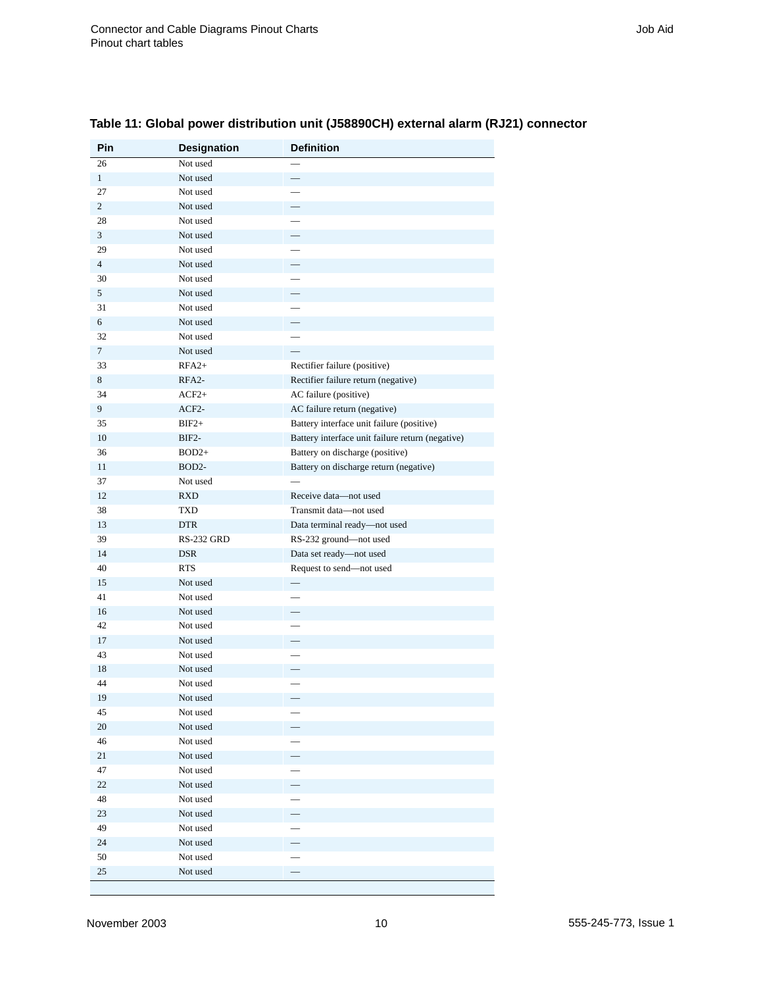| <b>Pin</b>     | Designation          | <b>Definition</b>                                |
|----------------|----------------------|--------------------------------------------------|
| 26             | Not used             |                                                  |
| $\mathbf{1}$   | Not used             |                                                  |
| 27             | Not used             |                                                  |
| $\overline{c}$ | Not used             |                                                  |
| 28             | Not used             |                                                  |
| 3              | Not used             |                                                  |
| 29             | Not used             |                                                  |
| $\overline{4}$ | Not used             |                                                  |
| 30             | Not used             |                                                  |
| 5              | Not used             |                                                  |
| 31             | Not used             | $\equiv$                                         |
| 6              | Not used             |                                                  |
| 32             | Not used             |                                                  |
| $\overline{7}$ | Not used             |                                                  |
| 33             | $RFA2+$              | Rectifier failure (positive)                     |
| 8              | RFA <sub>2</sub> -   | Rectifier failure return (negative)              |
| 34             | $ACF2+$              | AC failure (positive)                            |
| 9              | $ACF2-$              | AC failure return (negative)                     |
| 35             | $BIF2+$              | Battery interface unit failure (positive)        |
| 10             | BIF2-                | Battery interface unit failure return (negative) |
| 36             | $BOD2+$              | Battery on discharge (positive)                  |
| 11             | BOD <sub>2</sub> -   | Battery on discharge return (negative)           |
| 37             | Not used             |                                                  |
| 12             | <b>RXD</b>           | Receive data-not used                            |
| 38             | TXD                  | Transmit data-not used                           |
| 13             | <b>DTR</b>           | Data terminal ready-not used                     |
| 39             | RS-232 GRD           | RS-232 ground-not used                           |
| 14             | <b>DSR</b>           | Data set ready-not used                          |
| 40             | <b>RTS</b>           | Request to send-not used                         |
| 15             | Not used             |                                                  |
| 41             | Not used             |                                                  |
| 16             | Not used             |                                                  |
| 42             | Not used             |                                                  |
| 17             | Not used             |                                                  |
| 43             | Not used<br>Not used |                                                  |
| 18             | Not used             |                                                  |
| 44             |                      |                                                  |
| 19             | Not used             |                                                  |
| 45<br>20       | Not used<br>Not used |                                                  |
| 46             | Not used             |                                                  |
| 21             | Not used             |                                                  |
| 47             | Not used             |                                                  |
| $22\,$         | Not used             | —                                                |
| 48             | Not used             | $\overline{\phantom{0}}$                         |
| 23             | Not used             |                                                  |
| 49             | Not used             | π<br>$\overline{\phantom{0}}$                    |
| $24\,$         | Not used             |                                                  |
| 50             | Not used             |                                                  |
| 25             | Not used             |                                                  |
|                |                      |                                                  |

#### <span id="page-9-0"></span>**Table 11: Global power distribution unit (J58890CH) external alarm (RJ21) connector**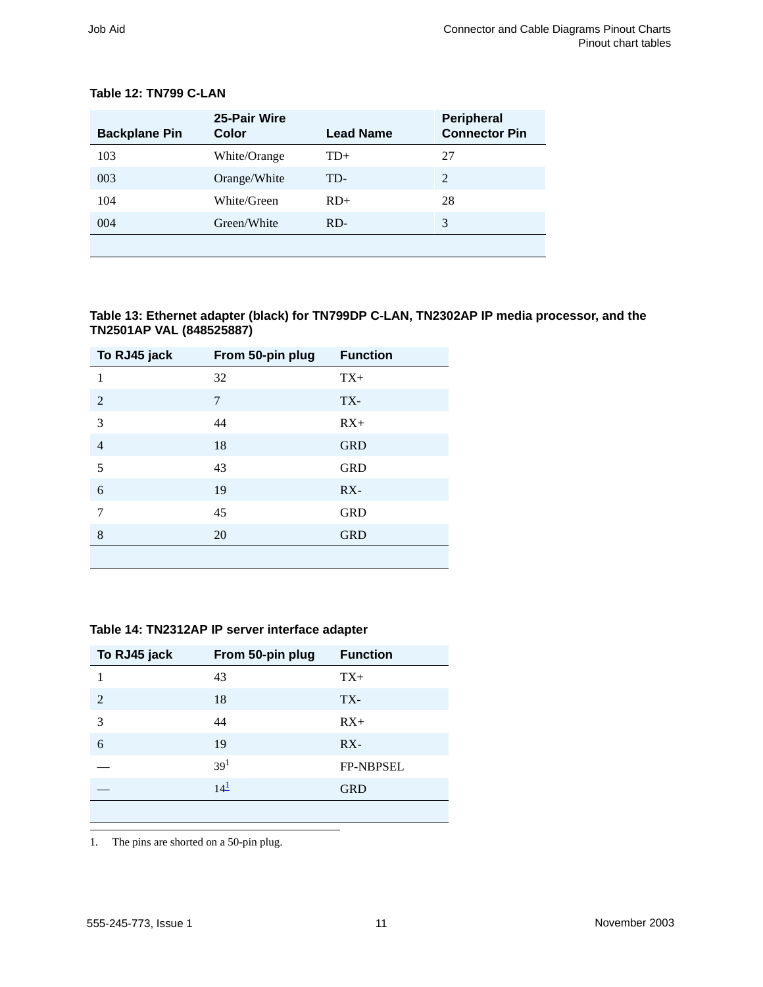| <b>Backplane Pin</b> | 25-Pair Wire<br>Color | <b>Lead Name</b> | <b>Peripheral</b><br><b>Connector Pin</b> |  |
|----------------------|-----------------------|------------------|-------------------------------------------|--|
| 103                  | White/Orange          | $TD+$            | 27                                        |  |
| 003                  | Orange/White          | TD-              | $\overline{2}$                            |  |
| 104                  | White/Green           | $RD+$            | 28                                        |  |
| 004                  | Green/White           |                  | 3                                         |  |
|                      |                       |                  |                                           |  |

#### <span id="page-10-0"></span>**Table 12: TN799 C-LAN**

<span id="page-10-2"></span>**Table 13: Ethernet adapter (black) for TN799DP C-LAN, TN2302AP IP media processor, and the TN2501AP VAL (848525887)**

| To RJ45 jack   | From 50-pin plug | <b>Function</b> |
|----------------|------------------|-----------------|
| 1              | 32               | $TX+$           |
| 2              | 7                | TX-             |
| 3              | 44               | $RX+$           |
| $\overline{4}$ | 18               | <b>GRD</b>      |
| 5              | 43               | <b>GRD</b>      |
| 6              | 19               | $RX -$          |
| $\overline{7}$ | 45               | <b>GRD</b>      |
| 8              | 20               | <b>GRD</b>      |
|                |                  |                 |

#### <span id="page-10-1"></span>**Table 14: TN2312AP IP server interface adapter**

| To RJ45 jack | From 50-pin plug | <b>Function</b>  |
|--------------|------------------|------------------|
| 1            | 43               | $TX+$            |
| 2            | 18               | TX-              |
| 3            | 44               | $RX+$            |
| 6            | 19               | $RX -$           |
|              | 39 <sup>1</sup>  | <b>FP-NBPSEL</b> |
|              | 14 <sup>1</sup>  | <b>GRD</b>       |
|              |                  |                  |

<span id="page-10-3"></span>1. The pins are shorted on a 50-pin plug.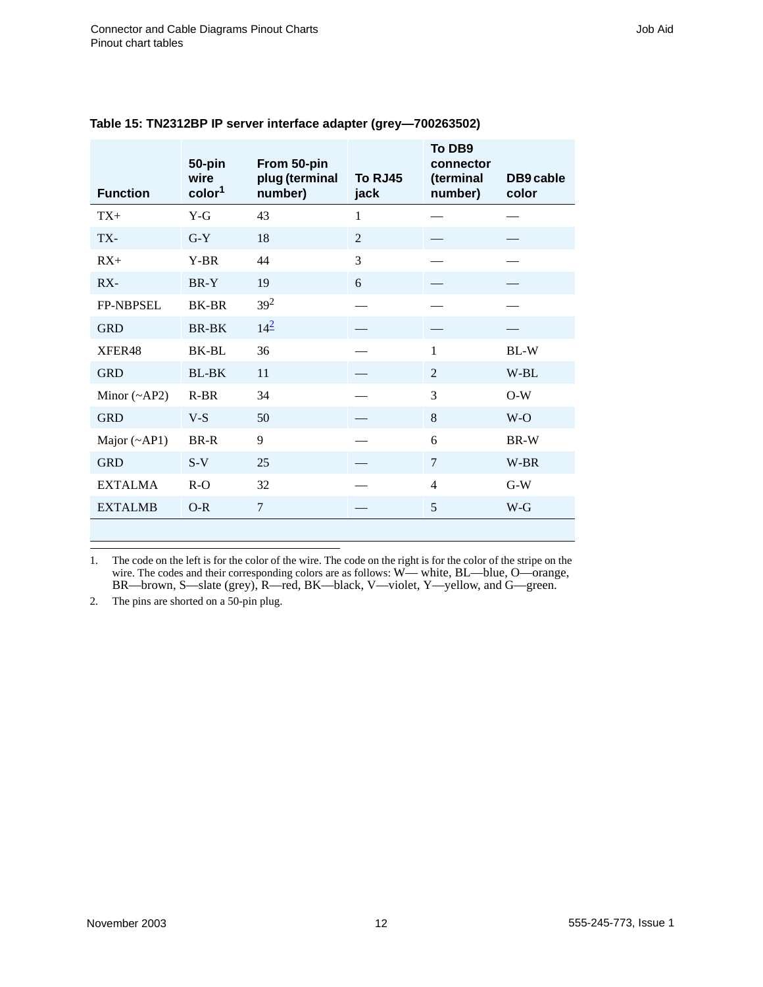| <b>Function</b>    | 50-pin<br>wire<br>color <sup>1</sup> | From 50-pin<br>plug (terminal<br>number) | To RJ45<br>jack | To DB9<br>connector<br>(terminal<br>number) | DB9 cable<br>color |
|--------------------|--------------------------------------|------------------------------------------|-----------------|---------------------------------------------|--------------------|
| $TX+$              | $Y-G$                                | 43                                       | 1               |                                             |                    |
| TX-                | $G-Y$                                | 18                                       | 2               |                                             |                    |
| $RX+$              | Y-BR                                 | 44                                       | 3               |                                             |                    |
| $RX -$             | BR-Y                                 | 19                                       | 6               |                                             |                    |
| FP-NBPSEL          | <b>BK-BR</b>                         | $39^{2}$                                 |                 |                                             |                    |
| <b>GRD</b>         | <b>BR-BK</b>                         | $14^{2}$                                 |                 |                                             |                    |
| XFER48             | BK-BL                                | 36                                       |                 | $\mathbf{1}$                                | BL-W               |
| <b>GRD</b>         | <b>BL-BK</b>                         | 11                                       |                 | 2                                           | W-BL               |
| Minor $(\sim AP2)$ | $R-BR$                               | 34                                       |                 | 3                                           | $O-W$              |
| <b>GRD</b>         | $V-S$                                | 50                                       |                 | 8                                           | $W-O$              |
| Major $(\sim API)$ | BR-R                                 | 9                                        |                 | 6                                           | BR-W               |
| <b>GRD</b>         | $S-V$                                | 25                                       |                 | $\overline{7}$                              | W-BR               |
| <b>EXTALMA</b>     | $R-O$                                | 32                                       |                 | $\overline{4}$                              | $G-W$              |
| <b>EXTALMB</b>     | $O-R$                                | 7                                        |                 | 5                                           | $W-G$              |

#### <span id="page-11-0"></span>**Table 15: TN2312BP IP server interface adapter (grey—700263502)**

1. The code on the left is for the color of the wire. The code on the right is for the color of the stripe on the wire. The codes and their corresponding colors are as follows: W— white, BL—blue, O—orange, BR—brown, S—slate (grey), R—red, BK—black, V—violet, Y—yellow, and G—green.

<span id="page-11-1"></span>2. The pins are shorted on a 50-pin plug.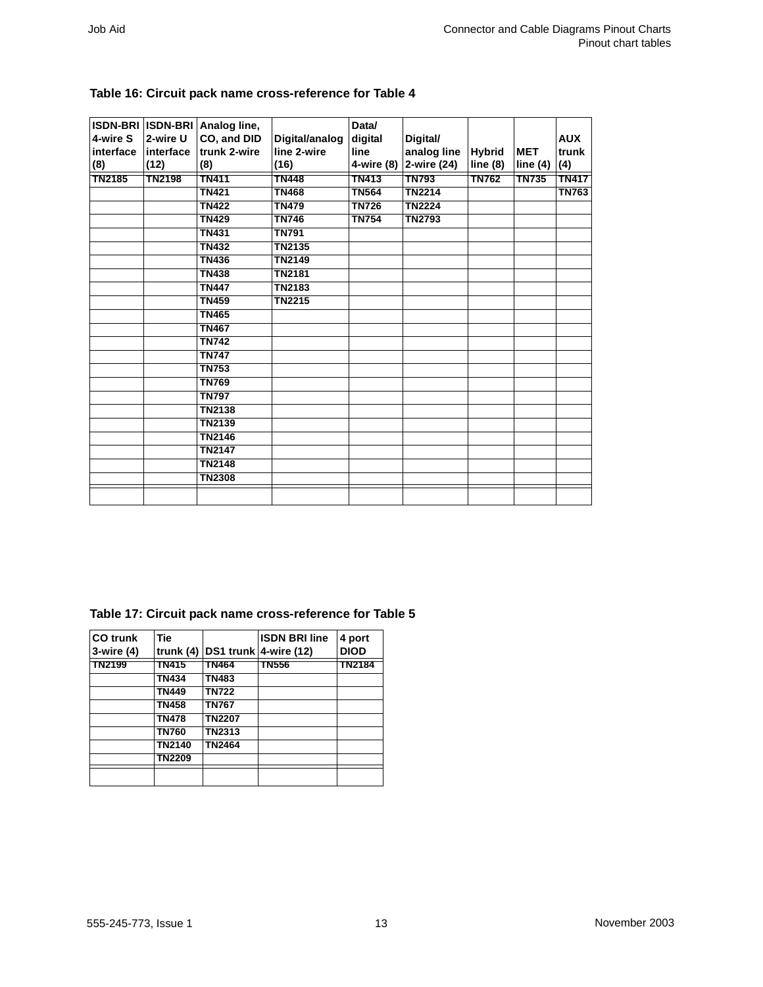| 4-wire S<br>interface<br>(8) | 2-wire U<br>linterface<br>(12) | ISDN-BRI  ISDN-BRI   Analog line,<br>CO, and DID<br>trunk 2-wire<br>(8) | Digital/analog<br>line 2-wire<br>(16) | Data/<br>digital<br>line<br>4-wire (8) | Digital/<br>analog line<br>2-wire (24) | <b>Hybrid</b><br>line(8) | <b>MET</b><br>line $(4)$ | <b>AUX</b><br>trunk<br>(4) |
|------------------------------|--------------------------------|-------------------------------------------------------------------------|---------------------------------------|----------------------------------------|----------------------------------------|--------------------------|--------------------------|----------------------------|
| <b>TN2185</b>                | <b>TN2198</b>                  | <b>TN411</b>                                                            | <b>TN448</b>                          | <b>TN413</b>                           | <b>TN793</b>                           | <b>TN762</b>             | <b>TN735</b>             | <b>TN417</b>               |
|                              |                                | <b>TN421</b>                                                            | <b>TN468</b>                          | <b>TN564</b>                           | <b>TN2214</b>                          |                          |                          | <b>TN763</b>               |
|                              |                                | <b>TN422</b>                                                            | <b>TN479</b>                          | <b>TN726</b>                           | <b>TN2224</b>                          |                          |                          |                            |
|                              |                                | <b>TN429</b>                                                            | <b>TN746</b>                          | <b>TN754</b>                           | <b>TN2793</b>                          |                          |                          |                            |
|                              |                                | <b>TN431</b>                                                            | <b>TN791</b>                          |                                        |                                        |                          |                          |                            |
|                              |                                | <b>TN432</b>                                                            | <b>TN2135</b>                         |                                        |                                        |                          |                          |                            |
|                              |                                | <b>TN436</b>                                                            | <b>TN2149</b>                         |                                        |                                        |                          |                          |                            |
|                              |                                | <b>TN438</b>                                                            | <b>TN2181</b>                         |                                        |                                        |                          |                          |                            |
|                              |                                | <b>TN447</b>                                                            | <b>TN2183</b>                         |                                        |                                        |                          |                          |                            |
|                              |                                | <b>TN459</b>                                                            | <b>TN2215</b>                         |                                        |                                        |                          |                          |                            |
|                              |                                | <b>TN465</b>                                                            |                                       |                                        |                                        |                          |                          |                            |
|                              |                                | <b>TN467</b>                                                            |                                       |                                        |                                        |                          |                          |                            |
|                              |                                | <b>TN742</b>                                                            |                                       |                                        |                                        |                          |                          |                            |
|                              |                                | <b>TN747</b>                                                            |                                       |                                        |                                        |                          |                          |                            |
|                              |                                | <b>TN753</b>                                                            |                                       |                                        |                                        |                          |                          |                            |
|                              |                                | <b>TN769</b>                                                            |                                       |                                        |                                        |                          |                          |                            |
|                              |                                | <b>TN797</b>                                                            |                                       |                                        |                                        |                          |                          |                            |
|                              |                                | <b>TN2138</b>                                                           |                                       |                                        |                                        |                          |                          |                            |
|                              |                                | <b>TN2139</b>                                                           |                                       |                                        |                                        |                          |                          |                            |
|                              |                                | <b>TN2146</b>                                                           |                                       |                                        |                                        |                          |                          |                            |
|                              |                                | <b>TN2147</b>                                                           |                                       |                                        |                                        |                          |                          |                            |
|                              |                                | <b>TN2148</b>                                                           |                                       |                                        |                                        |                          |                          |                            |
|                              |                                | <b>TN2308</b>                                                           |                                       |                                        |                                        |                          |                          |                            |
|                              |                                |                                                                         |                                       |                                        |                                        |                          |                          |                            |

#### <span id="page-12-1"></span>**Table 16: Circuit pack name cross-reference for [Table 4](#page-3-0)**

#### <span id="page-12-0"></span>**Table 17: Circuit pack name cross-reference for [Table 5](#page-4-0)**

| <b>CO</b> trunk<br>$3$ -wire $(4)$ | <b>Tie</b><br>trunk $(4)$ |               | <b>ISDN BRI line</b><br>DS1 trunk 4-wire (12) | 4 port<br><b>DIOD</b> |
|------------------------------------|---------------------------|---------------|-----------------------------------------------|-----------------------|
| <b>TN2199</b>                      | TN415                     | TN464         | TN556                                         | TN2184                |
|                                    | <b>TN434</b>              | <b>TN483</b>  |                                               |                       |
|                                    | <b>TN449</b>              | <b>TN722</b>  |                                               |                       |
|                                    | <b>TN458</b>              | <b>TN767</b>  |                                               |                       |
|                                    | <b>TN478</b>              | <b>TN2207</b> |                                               |                       |
|                                    | <b>TN760</b>              | <b>TN2313</b> |                                               |                       |
|                                    | TN2140                    | <b>TN2464</b> |                                               |                       |
|                                    | <b>TN2209</b>             |               |                                               |                       |
|                                    |                           |               |                                               |                       |